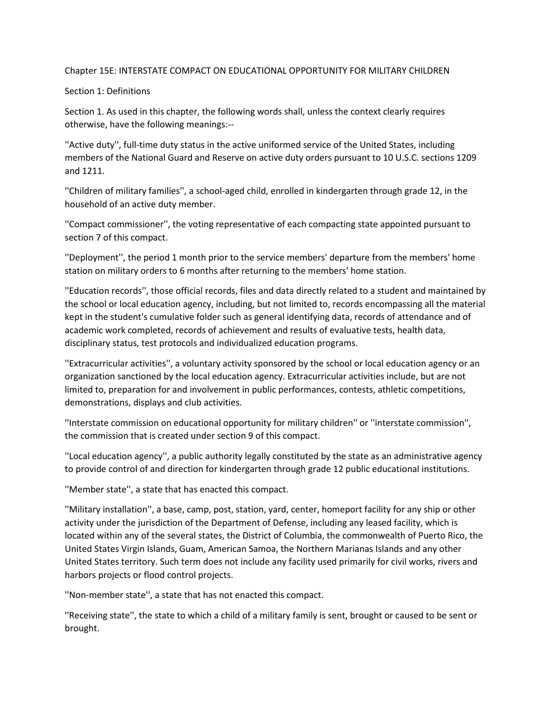## Chapter 15E: INTERSTATE COMPACT ON EDUCATIONAL OPPORTUNITY FOR MILITARY CHILDREN

### Section 1: Definitions

Section 1. As used in this chapter, the following words shall, unless the context clearly requires otherwise, have the following meanings:--

''Active duty'', full-time duty status in the active uniformed service of the United States, including members of the National Guard and Reserve on active duty orders pursuant to 10 U.S.C. sections 1209 and 1211.

''Children of military families'', a school-aged child, enrolled in kindergarten through grade 12, in the household of an active duty member.

''Compact commissioner'', the voting representative of each compacting state appointed pursuant to section 7 of this compact.

''Deployment'', the period 1 month prior to the service members' departure from the members' home station on military orders to 6 months after returning to the members' home station.

''Education records'', those official records, files and data directly related to a student and maintained by the school or local education agency, including, but not limited to, records encompassing all the material kept in the student's cumulative folder such as general identifying data, records of attendance and of academic work completed, records of achievement and results of evaluative tests, health data, disciplinary status, test protocols and individualized education programs.

''Extracurricular activities'', a voluntary activity sponsored by the school or local education agency or an organization sanctioned by the local education agency. Extracurricular activities include, but are not limited to, preparation for and involvement in public performances, contests, athletic competitions, demonstrations, displays and club activities.

''Interstate commission on educational opportunity for military children'' or ''interstate commission'', the commission that is created under section 9 of this compact.

''Local education agency'', a public authority legally constituted by the state as an administrative agency to provide control of and direction for kindergarten through grade 12 public educational institutions.

''Member state'', a state that has enacted this compact.

''Military installation'', a base, camp, post, station, yard, center, homeport facility for any ship or other activity under the jurisdiction of the Department of Defense, including any leased facility, which is located within any of the several states, the District of Columbia, the commonwealth of Puerto Rico, the United States Virgin Islands, Guam, American Samoa, the Northern Marianas Islands and any other United States territory. Such term does not include any facility used primarily for civil works, rivers and harbors projects or flood control projects.

''Non-member state'', a state that has not enacted this compact.

''Receiving state'', the state to which a child of a military family is sent, brought or caused to be sent or brought.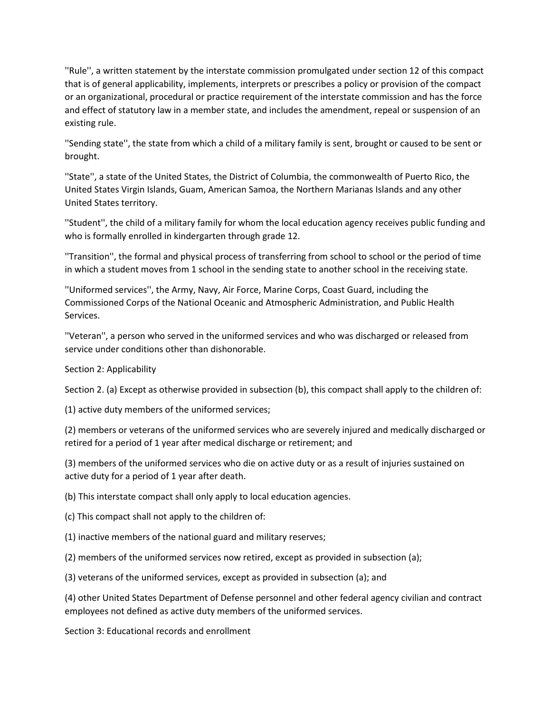''Rule'', a written statement by the interstate commission promulgated under section 12 of this compact that is of general applicability, implements, interprets or prescribes a policy or provision of the compact or an organizational, procedural or practice requirement of the interstate commission and has the force and effect of statutory law in a member state, and includes the amendment, repeal or suspension of an existing rule.

''Sending state'', the state from which a child of a military family is sent, brought or caused to be sent or brought.

''State'', a state of the United States, the District of Columbia, the commonwealth of Puerto Rico, the United States Virgin Islands, Guam, American Samoa, the Northern Marianas Islands and any other United States territory.

''Student'', the child of a military family for whom the local education agency receives public funding and who is formally enrolled in kindergarten through grade 12.

''Transition'', the formal and physical process of transferring from school to school or the period of time in which a student moves from 1 school in the sending state to another school in the receiving state.

''Uniformed services'', the Army, Navy, Air Force, Marine Corps, Coast Guard, including the Commissioned Corps of the National Oceanic and Atmospheric Administration, and Public Health Services.

''Veteran'', a person who served in the uniformed services and who was discharged or released from service under conditions other than dishonorable.

Section 2: Applicability

Section 2. (a) Except as otherwise provided in subsection (b), this compact shall apply to the children of:

(1) active duty members of the uniformed services;

(2) members or veterans of the uniformed services who are severely injured and medically discharged or retired for a period of 1 year after medical discharge or retirement; and

(3) members of the uniformed services who die on active duty or as a result of injuries sustained on active duty for a period of 1 year after death.

(b) This interstate compact shall only apply to local education agencies.

(c) This compact shall not apply to the children of:

(1) inactive members of the national guard and military reserves;

(2) members of the uniformed services now retired, except as provided in subsection (a);

(3) veterans of the uniformed services, except as provided in subsection (a); and

(4) other United States Department of Defense personnel and other federal agency civilian and contract employees not defined as active duty members of the uniformed services.

Section 3: Educational records and enrollment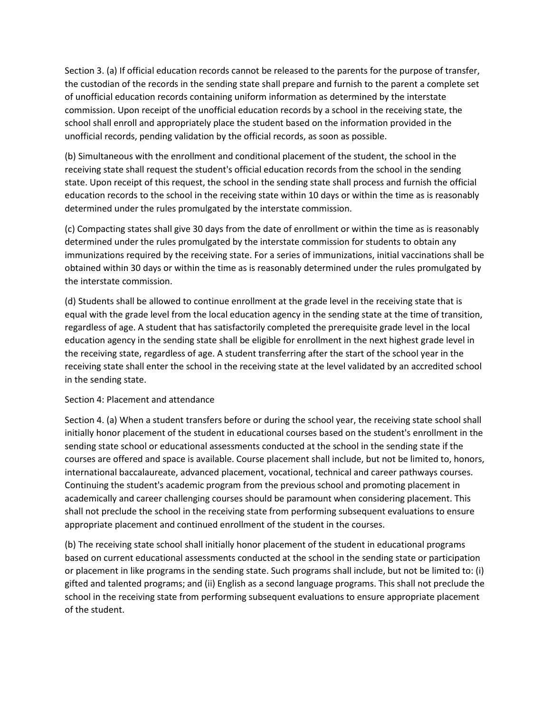Section 3. (a) If official education records cannot be released to the parents for the purpose of transfer, the custodian of the records in the sending state shall prepare and furnish to the parent a complete set of unofficial education records containing uniform information as determined by the interstate commission. Upon receipt of the unofficial education records by a school in the receiving state, the school shall enroll and appropriately place the student based on the information provided in the unofficial records, pending validation by the official records, as soon as possible.

(b) Simultaneous with the enrollment and conditional placement of the student, the school in the receiving state shall request the student's official education records from the school in the sending state. Upon receipt of this request, the school in the sending state shall process and furnish the official education records to the school in the receiving state within 10 days or within the time as is reasonably determined under the rules promulgated by the interstate commission.

(c) Compacting states shall give 30 days from the date of enrollment or within the time as is reasonably determined under the rules promulgated by the interstate commission for students to obtain any immunizations required by the receiving state. For a series of immunizations, initial vaccinations shall be obtained within 30 days or within the time as is reasonably determined under the rules promulgated by the interstate commission.

(d) Students shall be allowed to continue enrollment at the grade level in the receiving state that is equal with the grade level from the local education agency in the sending state at the time of transition, regardless of age. A student that has satisfactorily completed the prerequisite grade level in the local education agency in the sending state shall be eligible for enrollment in the next highest grade level in the receiving state, regardless of age. A student transferring after the start of the school year in the receiving state shall enter the school in the receiving state at the level validated by an accredited school in the sending state.

## Section 4: Placement and attendance

Section 4. (a) When a student transfers before or during the school year, the receiving state school shall initially honor placement of the student in educational courses based on the student's enrollment in the sending state school or educational assessments conducted at the school in the sending state if the courses are offered and space is available. Course placement shall include, but not be limited to, honors, international baccalaureate, advanced placement, vocational, technical and career pathways courses. Continuing the student's academic program from the previous school and promoting placement in academically and career challenging courses should be paramount when considering placement. This shall not preclude the school in the receiving state from performing subsequent evaluations to ensure appropriate placement and continued enrollment of the student in the courses.

(b) The receiving state school shall initially honor placement of the student in educational programs based on current educational assessments conducted at the school in the sending state or participation or placement in like programs in the sending state. Such programs shall include, but not be limited to: (i) gifted and talented programs; and (ii) English as a second language programs. This shall not preclude the school in the receiving state from performing subsequent evaluations to ensure appropriate placement of the student.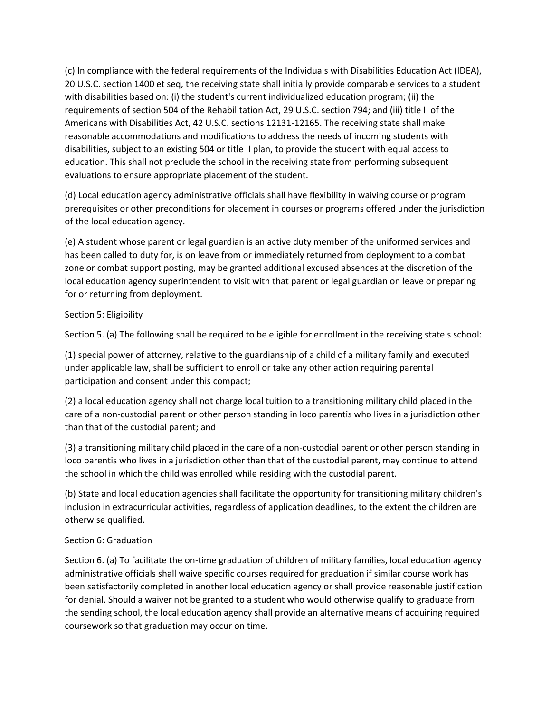(c) In compliance with the federal requirements of the Individuals with Disabilities Education Act (IDEA), 20 U.S.C. section 1400 et seq, the receiving state shall initially provide comparable services to a student with disabilities based on: (i) the student's current individualized education program; (ii) the requirements of section 504 of the Rehabilitation Act, 29 U.S.C. section 794; and (iii) title II of the Americans with Disabilities Act, 42 U.S.C. sections 12131-12165. The receiving state shall make reasonable accommodations and modifications to address the needs of incoming students with disabilities, subject to an existing 504 or title II plan, to provide the student with equal access to education. This shall not preclude the school in the receiving state from performing subsequent evaluations to ensure appropriate placement of the student.

(d) Local education agency administrative officials shall have flexibility in waiving course or program prerequisites or other preconditions for placement in courses or programs offered under the jurisdiction of the local education agency.

(e) A student whose parent or legal guardian is an active duty member of the uniformed services and has been called to duty for, is on leave from or immediately returned from deployment to a combat zone or combat support posting, may be granted additional excused absences at the discretion of the local education agency superintendent to visit with that parent or legal guardian on leave or preparing for or returning from deployment.

# Section 5: Eligibility

Section 5. (a) The following shall be required to be eligible for enrollment in the receiving state's school:

(1) special power of attorney, relative to the guardianship of a child of a military family and executed under applicable law, shall be sufficient to enroll or take any other action requiring parental participation and consent under this compact;

(2) a local education agency shall not charge local tuition to a transitioning military child placed in the care of a non-custodial parent or other person standing in loco parentis who lives in a jurisdiction other than that of the custodial parent; and

(3) a transitioning military child placed in the care of a non-custodial parent or other person standing in loco parentis who lives in a jurisdiction other than that of the custodial parent, may continue to attend the school in which the child was enrolled while residing with the custodial parent.

(b) State and local education agencies shall facilitate the opportunity for transitioning military children's inclusion in extracurricular activities, regardless of application deadlines, to the extent the children are otherwise qualified.

# Section 6: Graduation

Section 6. (a) To facilitate the on-time graduation of children of military families, local education agency administrative officials shall waive specific courses required for graduation if similar course work has been satisfactorily completed in another local education agency or shall provide reasonable justification for denial. Should a waiver not be granted to a student who would otherwise qualify to graduate from the sending school, the local education agency shall provide an alternative means of acquiring required coursework so that graduation may occur on time.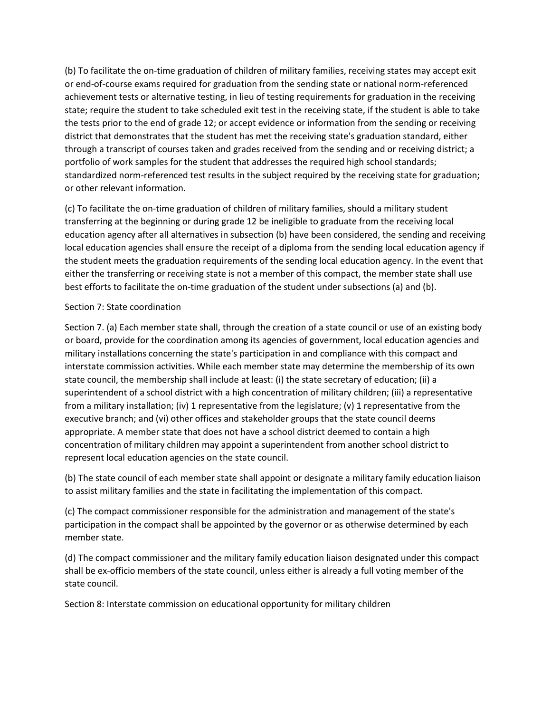(b) To facilitate the on-time graduation of children of military families, receiving states may accept exit or end-of-course exams required for graduation from the sending state or national norm-referenced achievement tests or alternative testing, in lieu of testing requirements for graduation in the receiving state; require the student to take scheduled exit test in the receiving state, if the student is able to take the tests prior to the end of grade 12; or accept evidence or information from the sending or receiving district that demonstrates that the student has met the receiving state's graduation standard, either through a transcript of courses taken and grades received from the sending and or receiving district; a portfolio of work samples for the student that addresses the required high school standards; standardized norm-referenced test results in the subject required by the receiving state for graduation; or other relevant information.

(c) To facilitate the on-time graduation of children of military families, should a military student transferring at the beginning or during grade 12 be ineligible to graduate from the receiving local education agency after all alternatives in subsection (b) have been considered, the sending and receiving local education agencies shall ensure the receipt of a diploma from the sending local education agency if the student meets the graduation requirements of the sending local education agency. In the event that either the transferring or receiving state is not a member of this compact, the member state shall use best efforts to facilitate the on-time graduation of the student under subsections (a) and (b).

## Section 7: State coordination

Section 7. (a) Each member state shall, through the creation of a state council or use of an existing body or board, provide for the coordination among its agencies of government, local education agencies and military installations concerning the state's participation in and compliance with this compact and interstate commission activities. While each member state may determine the membership of its own state council, the membership shall include at least: (i) the state secretary of education; (ii) a superintendent of a school district with a high concentration of military children; (iii) a representative from a military installation; (iv) 1 representative from the legislature; (v) 1 representative from the executive branch; and (vi) other offices and stakeholder groups that the state council deems appropriate. A member state that does not have a school district deemed to contain a high concentration of military children may appoint a superintendent from another school district to represent local education agencies on the state council.

(b) The state council of each member state shall appoint or designate a military family education liaison to assist military families and the state in facilitating the implementation of this compact.

(c) The compact commissioner responsible for the administration and management of the state's participation in the compact shall be appointed by the governor or as otherwise determined by each member state.

(d) The compact commissioner and the military family education liaison designated under this compact shall be ex-officio members of the state council, unless either is already a full voting member of the state council.

Section 8: Interstate commission on educational opportunity for military children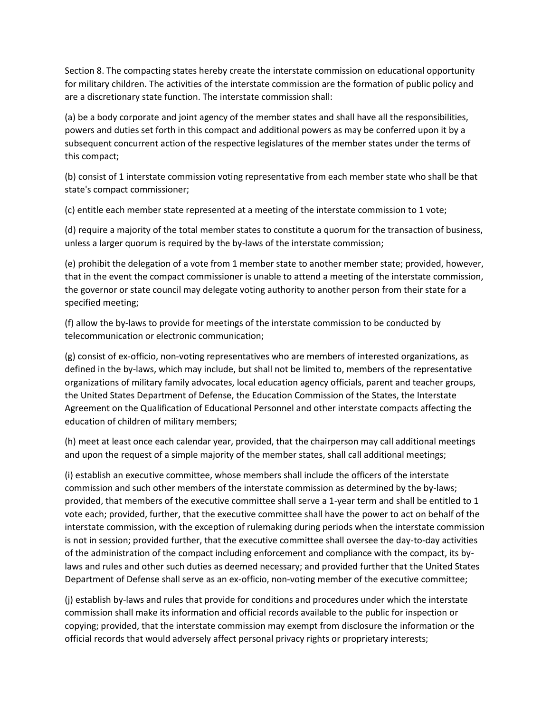Section 8. The compacting states hereby create the interstate commission on educational opportunity for military children. The activities of the interstate commission are the formation of public policy and are a discretionary state function. The interstate commission shall:

(a) be a body corporate and joint agency of the member states and shall have all the responsibilities, powers and duties set forth in this compact and additional powers as may be conferred upon it by a subsequent concurrent action of the respective legislatures of the member states under the terms of this compact;

(b) consist of 1 interstate commission voting representative from each member state who shall be that state's compact commissioner;

(c) entitle each member state represented at a meeting of the interstate commission to 1 vote;

(d) require a majority of the total member states to constitute a quorum for the transaction of business, unless a larger quorum is required by the by-laws of the interstate commission;

(e) prohibit the delegation of a vote from 1 member state to another member state; provided, however, that in the event the compact commissioner is unable to attend a meeting of the interstate commission, the governor or state council may delegate voting authority to another person from their state for a specified meeting;

(f) allow the by-laws to provide for meetings of the interstate commission to be conducted by telecommunication or electronic communication;

(g) consist of ex-officio, non-voting representatives who are members of interested organizations, as defined in the by-laws, which may include, but shall not be limited to, members of the representative organizations of military family advocates, local education agency officials, parent and teacher groups, the United States Department of Defense, the Education Commission of the States, the Interstate Agreement on the Qualification of Educational Personnel and other interstate compacts affecting the education of children of military members;

(h) meet at least once each calendar year, provided, that the chairperson may call additional meetings and upon the request of a simple majority of the member states, shall call additional meetings;

(i) establish an executive committee, whose members shall include the officers of the interstate commission and such other members of the interstate commission as determined by the by-laws; provided, that members of the executive committee shall serve a 1-year term and shall be entitled to 1 vote each; provided, further, that the executive committee shall have the power to act on behalf of the interstate commission, with the exception of rulemaking during periods when the interstate commission is not in session; provided further, that the executive committee shall oversee the day-to-day activities of the administration of the compact including enforcement and compliance with the compact, its bylaws and rules and other such duties as deemed necessary; and provided further that the United States Department of Defense shall serve as an ex-officio, non-voting member of the executive committee;

(j) establish by-laws and rules that provide for conditions and procedures under which the interstate commission shall make its information and official records available to the public for inspection or copying; provided, that the interstate commission may exempt from disclosure the information or the official records that would adversely affect personal privacy rights or proprietary interests;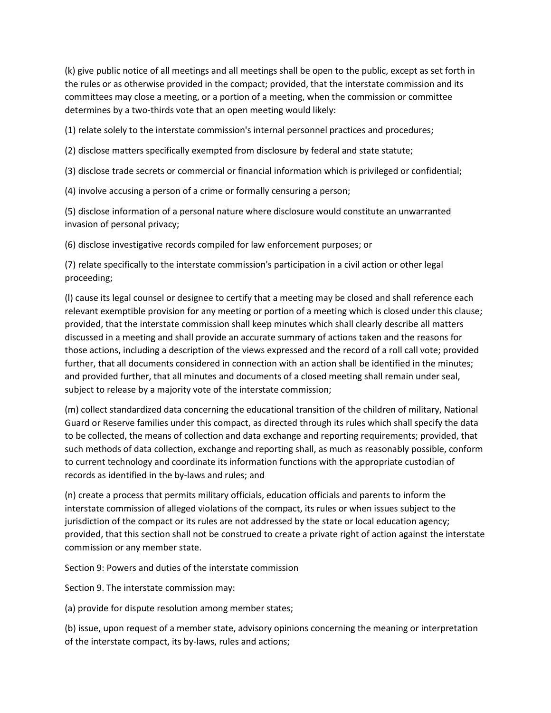(k) give public notice of all meetings and all meetings shall be open to the public, except as set forth in the rules or as otherwise provided in the compact; provided, that the interstate commission and its committees may close a meeting, or a portion of a meeting, when the commission or committee determines by a two-thirds vote that an open meeting would likely:

(1) relate solely to the interstate commission's internal personnel practices and procedures;

(2) disclose matters specifically exempted from disclosure by federal and state statute;

(3) disclose trade secrets or commercial or financial information which is privileged or confidential;

(4) involve accusing a person of a crime or formally censuring a person;

(5) disclose information of a personal nature where disclosure would constitute an unwarranted invasion of personal privacy;

(6) disclose investigative records compiled for law enforcement purposes; or

(7) relate specifically to the interstate commission's participation in a civil action or other legal proceeding;

(l) cause its legal counsel or designee to certify that a meeting may be closed and shall reference each relevant exemptible provision for any meeting or portion of a meeting which is closed under this clause; provided, that the interstate commission shall keep minutes which shall clearly describe all matters discussed in a meeting and shall provide an accurate summary of actions taken and the reasons for those actions, including a description of the views expressed and the record of a roll call vote; provided further, that all documents considered in connection with an action shall be identified in the minutes; and provided further, that all minutes and documents of a closed meeting shall remain under seal, subject to release by a majority vote of the interstate commission;

(m) collect standardized data concerning the educational transition of the children of military, National Guard or Reserve families under this compact, as directed through its rules which shall specify the data to be collected, the means of collection and data exchange and reporting requirements; provided, that such methods of data collection, exchange and reporting shall, as much as reasonably possible, conform to current technology and coordinate its information functions with the appropriate custodian of records as identified in the by-laws and rules; and

(n) create a process that permits military officials, education officials and parents to inform the interstate commission of alleged violations of the compact, its rules or when issues subject to the jurisdiction of the compact or its rules are not addressed by the state or local education agency; provided, that this section shall not be construed to create a private right of action against the interstate commission or any member state.

Section 9: Powers and duties of the interstate commission

Section 9. The interstate commission may:

(a) provide for dispute resolution among member states;

(b) issue, upon request of a member state, advisory opinions concerning the meaning or interpretation of the interstate compact, its by-laws, rules and actions;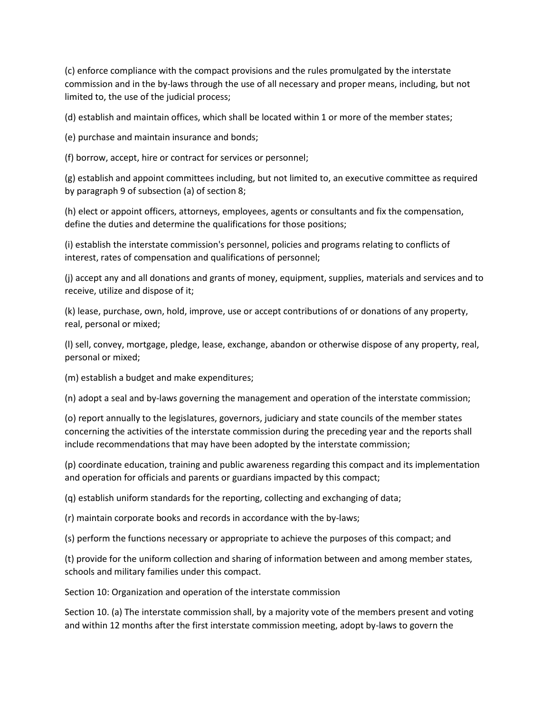(c) enforce compliance with the compact provisions and the rules promulgated by the interstate commission and in the by-laws through the use of all necessary and proper means, including, but not limited to, the use of the judicial process;

(d) establish and maintain offices, which shall be located within 1 or more of the member states;

(e) purchase and maintain insurance and bonds;

(f) borrow, accept, hire or contract for services or personnel;

(g) establish and appoint committees including, but not limited to, an executive committee as required by paragraph 9 of subsection (a) of section 8;

(h) elect or appoint officers, attorneys, employees, agents or consultants and fix the compensation, define the duties and determine the qualifications for those positions;

(i) establish the interstate commission's personnel, policies and programs relating to conflicts of interest, rates of compensation and qualifications of personnel;

(j) accept any and all donations and grants of money, equipment, supplies, materials and services and to receive, utilize and dispose of it;

(k) lease, purchase, own, hold, improve, use or accept contributions of or donations of any property, real, personal or mixed;

(l) sell, convey, mortgage, pledge, lease, exchange, abandon or otherwise dispose of any property, real, personal or mixed;

(m) establish a budget and make expenditures;

(n) adopt a seal and by-laws governing the management and operation of the interstate commission;

(o) report annually to the legislatures, governors, judiciary and state councils of the member states concerning the activities of the interstate commission during the preceding year and the reports shall include recommendations that may have been adopted by the interstate commission;

(p) coordinate education, training and public awareness regarding this compact and its implementation and operation for officials and parents or guardians impacted by this compact;

(q) establish uniform standards for the reporting, collecting and exchanging of data;

(r) maintain corporate books and records in accordance with the by-laws;

(s) perform the functions necessary or appropriate to achieve the purposes of this compact; and

(t) provide for the uniform collection and sharing of information between and among member states, schools and military families under this compact.

Section 10: Organization and operation of the interstate commission

Section 10. (a) The interstate commission shall, by a majority vote of the members present and voting and within 12 months after the first interstate commission meeting, adopt by-laws to govern the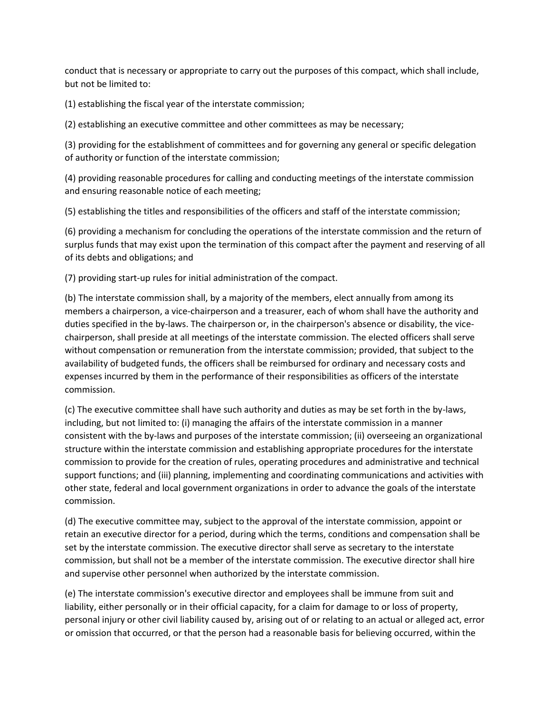conduct that is necessary or appropriate to carry out the purposes of this compact, which shall include, but not be limited to:

(1) establishing the fiscal year of the interstate commission;

(2) establishing an executive committee and other committees as may be necessary;

(3) providing for the establishment of committees and for governing any general or specific delegation of authority or function of the interstate commission;

(4) providing reasonable procedures for calling and conducting meetings of the interstate commission and ensuring reasonable notice of each meeting;

(5) establishing the titles and responsibilities of the officers and staff of the interstate commission;

(6) providing a mechanism for concluding the operations of the interstate commission and the return of surplus funds that may exist upon the termination of this compact after the payment and reserving of all of its debts and obligations; and

(7) providing start-up rules for initial administration of the compact.

(b) The interstate commission shall, by a majority of the members, elect annually from among its members a chairperson, a vice-chairperson and a treasurer, each of whom shall have the authority and duties specified in the by-laws. The chairperson or, in the chairperson's absence or disability, the vicechairperson, shall preside at all meetings of the interstate commission. The elected officers shall serve without compensation or remuneration from the interstate commission; provided, that subject to the availability of budgeted funds, the officers shall be reimbursed for ordinary and necessary costs and expenses incurred by them in the performance of their responsibilities as officers of the interstate commission.

(c) The executive committee shall have such authority and duties as may be set forth in the by-laws, including, but not limited to: (i) managing the affairs of the interstate commission in a manner consistent with the by-laws and purposes of the interstate commission; (ii) overseeing an organizational structure within the interstate commission and establishing appropriate procedures for the interstate commission to provide for the creation of rules, operating procedures and administrative and technical support functions; and (iii) planning, implementing and coordinating communications and activities with other state, federal and local government organizations in order to advance the goals of the interstate commission.

(d) The executive committee may, subject to the approval of the interstate commission, appoint or retain an executive director for a period, during which the terms, conditions and compensation shall be set by the interstate commission. The executive director shall serve as secretary to the interstate commission, but shall not be a member of the interstate commission. The executive director shall hire and supervise other personnel when authorized by the interstate commission.

(e) The interstate commission's executive director and employees shall be immune from suit and liability, either personally or in their official capacity, for a claim for damage to or loss of property, personal injury or other civil liability caused by, arising out of or relating to an actual or alleged act, error or omission that occurred, or that the person had a reasonable basis for believing occurred, within the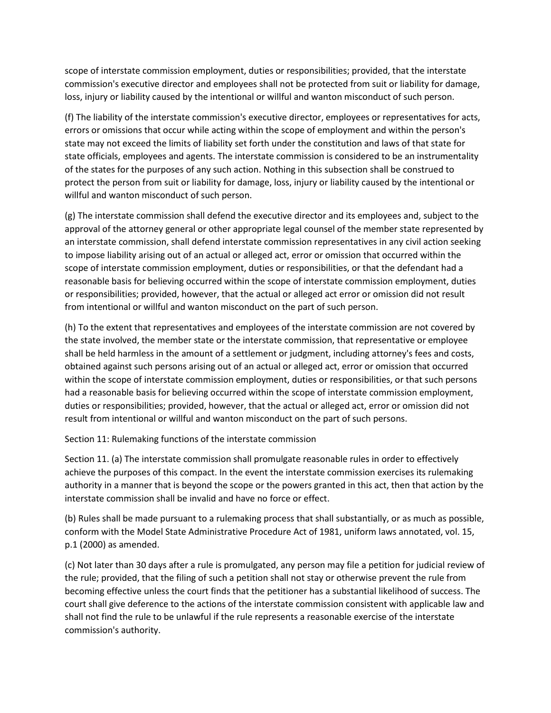scope of interstate commission employment, duties or responsibilities; provided, that the interstate commission's executive director and employees shall not be protected from suit or liability for damage, loss, injury or liability caused by the intentional or willful and wanton misconduct of such person.

(f) The liability of the interstate commission's executive director, employees or representatives for acts, errors or omissions that occur while acting within the scope of employment and within the person's state may not exceed the limits of liability set forth under the constitution and laws of that state for state officials, employees and agents. The interstate commission is considered to be an instrumentality of the states for the purposes of any such action. Nothing in this subsection shall be construed to protect the person from suit or liability for damage, loss, injury or liability caused by the intentional or willful and wanton misconduct of such person.

(g) The interstate commission shall defend the executive director and its employees and, subject to the approval of the attorney general or other appropriate legal counsel of the member state represented by an interstate commission, shall defend interstate commission representatives in any civil action seeking to impose liability arising out of an actual or alleged act, error or omission that occurred within the scope of interstate commission employment, duties or responsibilities, or that the defendant had a reasonable basis for believing occurred within the scope of interstate commission employment, duties or responsibilities; provided, however, that the actual or alleged act error or omission did not result from intentional or willful and wanton misconduct on the part of such person.

(h) To the extent that representatives and employees of the interstate commission are not covered by the state involved, the member state or the interstate commission, that representative or employee shall be held harmless in the amount of a settlement or judgment, including attorney's fees and costs, obtained against such persons arising out of an actual or alleged act, error or omission that occurred within the scope of interstate commission employment, duties or responsibilities, or that such persons had a reasonable basis for believing occurred within the scope of interstate commission employment, duties or responsibilities; provided, however, that the actual or alleged act, error or omission did not result from intentional or willful and wanton misconduct on the part of such persons.

Section 11: Rulemaking functions of the interstate commission

Section 11. (a) The interstate commission shall promulgate reasonable rules in order to effectively achieve the purposes of this compact. In the event the interstate commission exercises its rulemaking authority in a manner that is beyond the scope or the powers granted in this act, then that action by the interstate commission shall be invalid and have no force or effect.

(b) Rules shall be made pursuant to a rulemaking process that shall substantially, or as much as possible, conform with the Model State Administrative Procedure Act of 1981, uniform laws annotated, vol. 15, p.1 (2000) as amended.

(c) Not later than 30 days after a rule is promulgated, any person may file a petition for judicial review of the rule; provided, that the filing of such a petition shall not stay or otherwise prevent the rule from becoming effective unless the court finds that the petitioner has a substantial likelihood of success. The court shall give deference to the actions of the interstate commission consistent with applicable law and shall not find the rule to be unlawful if the rule represents a reasonable exercise of the interstate commission's authority.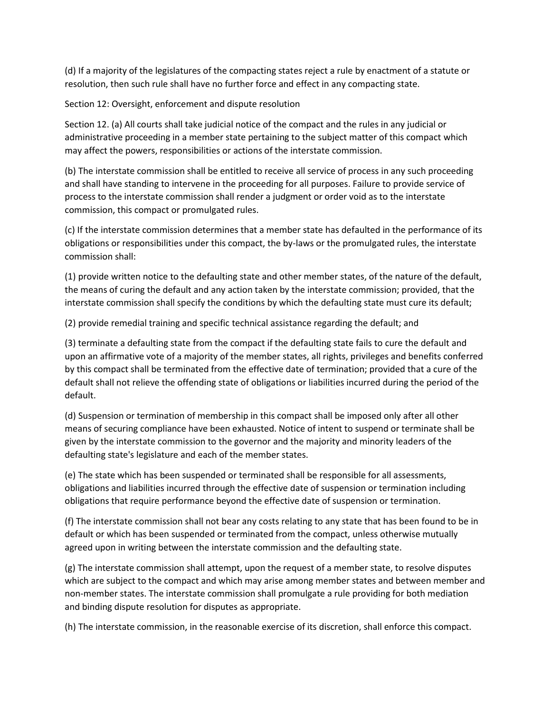(d) If a majority of the legislatures of the compacting states reject a rule by enactment of a statute or resolution, then such rule shall have no further force and effect in any compacting state.

Section 12: Oversight, enforcement and dispute resolution

Section 12. (a) All courts shall take judicial notice of the compact and the rules in any judicial or administrative proceeding in a member state pertaining to the subject matter of this compact which may affect the powers, responsibilities or actions of the interstate commission.

(b) The interstate commission shall be entitled to receive all service of process in any such proceeding and shall have standing to intervene in the proceeding for all purposes. Failure to provide service of process to the interstate commission shall render a judgment or order void as to the interstate commission, this compact or promulgated rules.

(c) If the interstate commission determines that a member state has defaulted in the performance of its obligations or responsibilities under this compact, the by-laws or the promulgated rules, the interstate commission shall:

(1) provide written notice to the defaulting state and other member states, of the nature of the default, the means of curing the default and any action taken by the interstate commission; provided, that the interstate commission shall specify the conditions by which the defaulting state must cure its default;

(2) provide remedial training and specific technical assistance regarding the default; and

(3) terminate a defaulting state from the compact if the defaulting state fails to cure the default and upon an affirmative vote of a majority of the member states, all rights, privileges and benefits conferred by this compact shall be terminated from the effective date of termination; provided that a cure of the default shall not relieve the offending state of obligations or liabilities incurred during the period of the default.

(d) Suspension or termination of membership in this compact shall be imposed only after all other means of securing compliance have been exhausted. Notice of intent to suspend or terminate shall be given by the interstate commission to the governor and the majority and minority leaders of the defaulting state's legislature and each of the member states.

(e) The state which has been suspended or terminated shall be responsible for all assessments, obligations and liabilities incurred through the effective date of suspension or termination including obligations that require performance beyond the effective date of suspension or termination.

(f) The interstate commission shall not bear any costs relating to any state that has been found to be in default or which has been suspended or terminated from the compact, unless otherwise mutually agreed upon in writing between the interstate commission and the defaulting state.

(g) The interstate commission shall attempt, upon the request of a member state, to resolve disputes which are subject to the compact and which may arise among member states and between member and non-member states. The interstate commission shall promulgate a rule providing for both mediation and binding dispute resolution for disputes as appropriate.

(h) The interstate commission, in the reasonable exercise of its discretion, shall enforce this compact.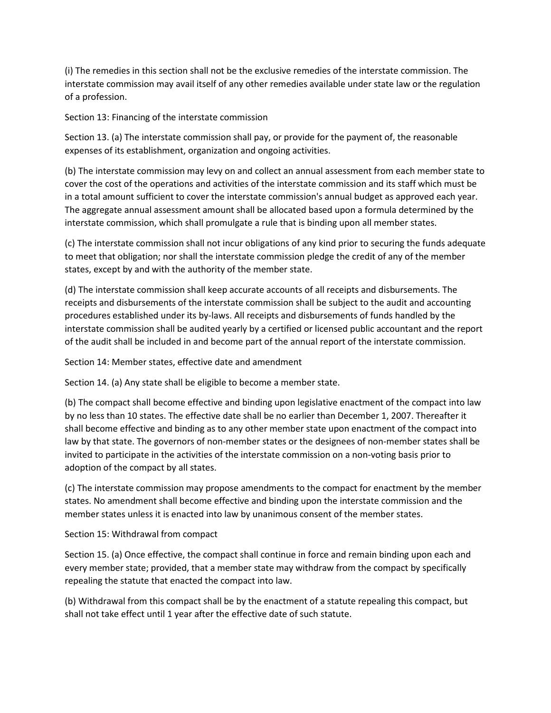(i) The remedies in this section shall not be the exclusive remedies of the interstate commission. The interstate commission may avail itself of any other remedies available under state law or the regulation of a profession.

Section 13: Financing of the interstate commission

Section 13. (a) The interstate commission shall pay, or provide for the payment of, the reasonable expenses of its establishment, organization and ongoing activities.

(b) The interstate commission may levy on and collect an annual assessment from each member state to cover the cost of the operations and activities of the interstate commission and its staff which must be in a total amount sufficient to cover the interstate commission's annual budget as approved each year. The aggregate annual assessment amount shall be allocated based upon a formula determined by the interstate commission, which shall promulgate a rule that is binding upon all member states.

(c) The interstate commission shall not incur obligations of any kind prior to securing the funds adequate to meet that obligation; nor shall the interstate commission pledge the credit of any of the member states, except by and with the authority of the member state.

(d) The interstate commission shall keep accurate accounts of all receipts and disbursements. The receipts and disbursements of the interstate commission shall be subject to the audit and accounting procedures established under its by-laws. All receipts and disbursements of funds handled by the interstate commission shall be audited yearly by a certified or licensed public accountant and the report of the audit shall be included in and become part of the annual report of the interstate commission.

Section 14: Member states, effective date and amendment

Section 14. (a) Any state shall be eligible to become a member state.

(b) The compact shall become effective and binding upon legislative enactment of the compact into law by no less than 10 states. The effective date shall be no earlier than December 1, 2007. Thereafter it shall become effective and binding as to any other member state upon enactment of the compact into law by that state. The governors of non-member states or the designees of non-member states shall be invited to participate in the activities of the interstate commission on a non-voting basis prior to adoption of the compact by all states.

(c) The interstate commission may propose amendments to the compact for enactment by the member states. No amendment shall become effective and binding upon the interstate commission and the member states unless it is enacted into law by unanimous consent of the member states.

Section 15: Withdrawal from compact

Section 15. (a) Once effective, the compact shall continue in force and remain binding upon each and every member state; provided, that a member state may withdraw from the compact by specifically repealing the statute that enacted the compact into law.

(b) Withdrawal from this compact shall be by the enactment of a statute repealing this compact, but shall not take effect until 1 year after the effective date of such statute.